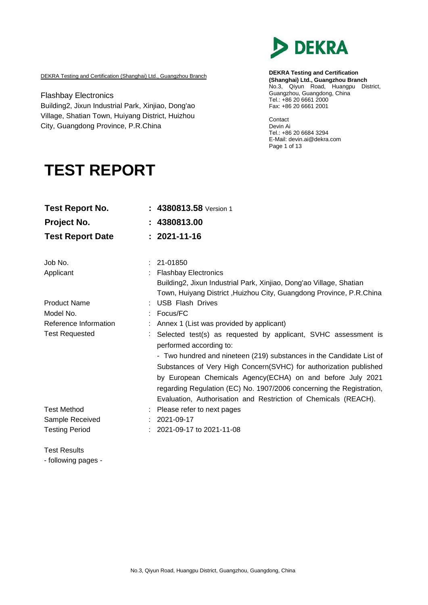

DEKRA Testing and Certification (Shanghai) Ltd., Guangzhou Branch

Flashbay Electronics Building2, Jixun Industrial Park, Xinjiao, Dong'ao Village, Shatian Town, Huiyang District, Huizhou City, Guangdong Province, P.R.China

**DEKRA Testing and Certification (Shanghai) Ltd., Guangzhou Branch** No.3, Qiyun Road, Huangpu District, Guangzhou, Guangdong, China Tel.: +86 20 6661 2000 Fax: +86 20 6661 2001

Contact Devin Ai Tel.: +86 20 6684 3294 E-Mail: [devin.ai@dekra.com](mailto:devin.ai@dekra.com) Page 1 of 13

# **TEST REPORT**

| <b>Test Report No.</b>  |   | $: 4380813.58$ Version 1                                                                                                                                                                                                                                                                                                                           |
|-------------------------|---|----------------------------------------------------------------------------------------------------------------------------------------------------------------------------------------------------------------------------------------------------------------------------------------------------------------------------------------------------|
| Project No.             |   | : 4380813.00                                                                                                                                                                                                                                                                                                                                       |
| <b>Test Report Date</b> |   | $: 2021 - 11 - 16$                                                                                                                                                                                                                                                                                                                                 |
| Job No.                 | ÷ | 21-01850                                                                                                                                                                                                                                                                                                                                           |
| Applicant               |   | <b>Flashbay Electronics</b><br>Building2, Jixun Industrial Park, Xinjiao, Dong'ao Village, Shatian<br>Town, Huiyang District, Huizhou City, Guangdong Province, P.R.China                                                                                                                                                                          |
| <b>Product Name</b>     |   | <b>USB Flash Drives</b>                                                                                                                                                                                                                                                                                                                            |
| Model No.               |   | Focus/FC                                                                                                                                                                                                                                                                                                                                           |
| Reference Information   |   | Annex 1 (List was provided by applicant)                                                                                                                                                                                                                                                                                                           |
| <b>Test Requested</b>   |   | Selected test(s) as requested by applicant, SVHC assessment is<br>performed according to:                                                                                                                                                                                                                                                          |
|                         |   | - Two hundred and nineteen (219) substances in the Candidate List of<br>Substances of Very High Concern(SVHC) for authorization published<br>by European Chemicals Agency(ECHA) on and before July 2021<br>regarding Regulation (EC) No. 1907/2006 concerning the Registration,<br>Evaluation, Authorisation and Restriction of Chemicals (REACH). |
| <b>Test Method</b>      |   | Please refer to next pages                                                                                                                                                                                                                                                                                                                         |
| Sample Received         |   | 2021-09-17                                                                                                                                                                                                                                                                                                                                         |
| <b>Testing Period</b>   |   | 2021-09-17 to 2021-11-08                                                                                                                                                                                                                                                                                                                           |

Test Results - following pages -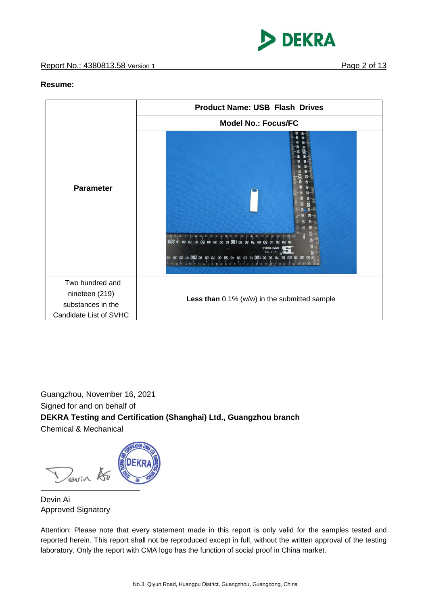

#### **Resume:**



Guangzhou, November 16, 2021 Signed for and on behalf of **DEKRA Testing and Certification (Shanghai) Ltd., Guangzhou branch** Chemical & Mechanical

Devin 15

Devin Ai Approved Signatory

Attention: Please note that every statement made in this report is only valid for the samples tested and reported herein. This report shall not be reproduced except in full, without the written approval of the testing laboratory. Only the report with CMA logo has the function of social proof in China market.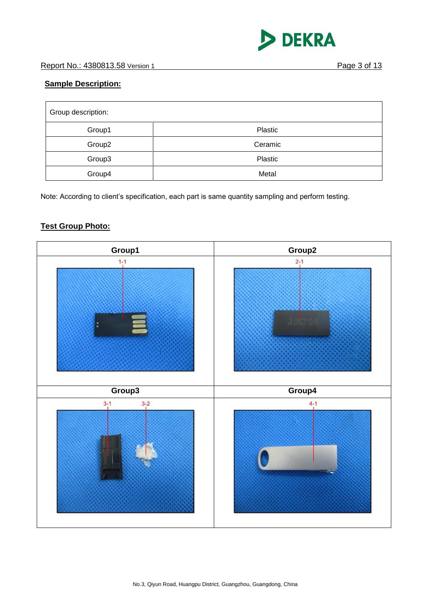

## **Sample Description:**

| Group description: |         |  |
|--------------------|---------|--|
| Group1             | Plastic |  |
| Group <sub>2</sub> | Ceramic |  |
| Group3             | Plastic |  |
| Group4             | Metal   |  |

Note: According to client's specification, each part is same quantity sampling and perform testing.

# **Test Group Photo:**

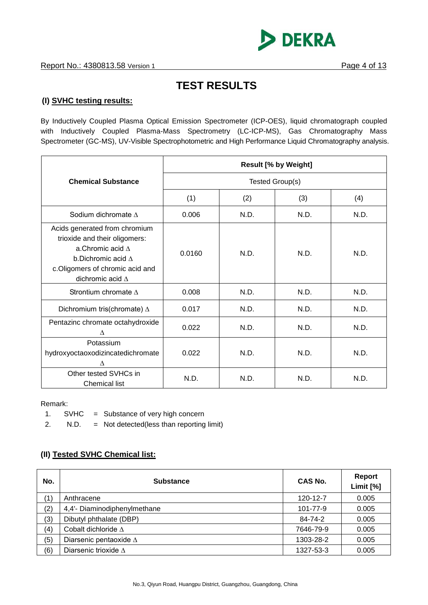

# **TEST RESULTS**

### **(I) SVHC testing results:**

By Inductively Coupled Plasma Optical Emission Spectrometer (ICP-OES), liquid chromatograph coupled with Inductively Coupled Plasma-Mass Spectrometry (LC-ICP-MS), Gas Chromatography Mass Spectrometer (GC-MS), UV-Visible Spectrophotometric and High Performance Liquid Chromatography analysis.

|                                                                                                                                                                                        | <b>Result [% by Weight]</b> |      |      |      |
|----------------------------------------------------------------------------------------------------------------------------------------------------------------------------------------|-----------------------------|------|------|------|
| <b>Chemical Substance</b>                                                                                                                                                              | Tested Group(s)             |      |      |      |
|                                                                                                                                                                                        | (1)                         | (2)  | (3)  | (4)  |
| Sodium dichromate $\Delta$                                                                                                                                                             | 0.006                       | N.D. | N.D. | N.D. |
| Acids generated from chromium<br>trioxide and their oligomers:<br>a.Chromic acid $\Lambda$<br>b.Dichromic acid $\Lambda$<br>c.Oligomers of chromic acid and<br>dichromic acid $\Delta$ | 0.0160                      | N.D. | N.D. | N.D. |
| Strontium chromate $\Delta$                                                                                                                                                            | 0.008                       | N.D. | N.D. | N.D. |
| Dichromium tris(chromate) $\Delta$                                                                                                                                                     | 0.017                       | N.D. | N.D. | N.D. |
| Pentazinc chromate octahydroxide<br>Δ                                                                                                                                                  | 0.022                       | N.D. | N.D. | N.D. |
| Potassium<br>hydroxyoctaoxodizincatedichromate<br>$\wedge$                                                                                                                             | 0.022                       | N.D. | N.D. | N.D. |
| Other tested SVHCs in<br><b>Chemical list</b>                                                                                                                                          | N.D.                        | N.D. | N.D. | N.D. |

Remark:

1. SVHC = Substance of very high concern

2. N.D. = Not detected(less than reporting limit)

### **(II) Tested SVHC Chemical list:**

| No. | <b>Substance</b>              | CAS No.   | Report<br>Limit [%] |
|-----|-------------------------------|-----------|---------------------|
| (1) | Anthracene                    | 120-12-7  | 0.005               |
| (2) | 4,4'- Diaminodiphenylmethane  | 101-77-9  | 0.005               |
| (3) | Dibutyl phthalate (DBP)       | 84-74-2   | 0.005               |
| (4) | Cobalt dichloride $\Lambda$   | 7646-79-9 | 0.005               |
| (5) | Diarsenic pentaoxide $\Delta$ | 1303-28-2 | 0.005               |
| (6) | Diarsenic trioxide $\Delta$   | 1327-53-3 | 0.005               |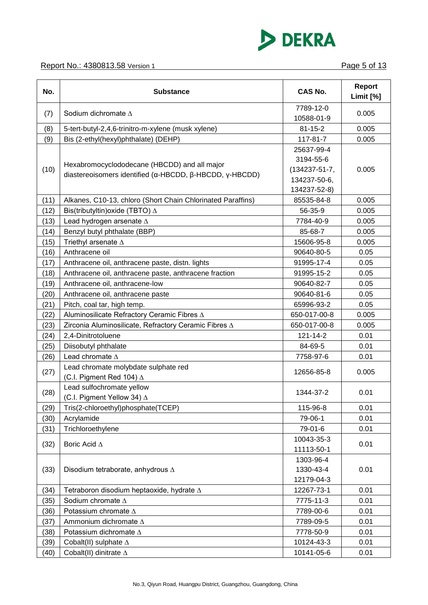

| 7789-12-0<br>Sodium dichromate $\Delta$<br>0.005<br>(7)<br>10588-01-9<br>$81 - 15 - 2$<br>0.005<br>(8)<br>5-tert-butyl-2,4,6-trinitro-m-xylene (musk xylene)<br>Bis (2-ethyl(hexyl)phthalate) (DEHP)<br>117-81-7<br>(9)<br>0.005<br>25637-99-4<br>3194-55-6<br>Hexabromocyclododecane (HBCDD) and all major<br>(10)<br>$(134237 - 51 - 7,$<br>0.005<br>diastereoisomers identified ( $\alpha$ -HBCDD, $\beta$ -HBCDD, $\gamma$ -HBCDD)<br>134237-50-6,<br>134237-52-8)<br>0.005<br>Alkanes, C10-13, chloro (Short Chain Chlorinated Paraffins)<br>85535-84-8<br>(11)<br>Bis(tributyltin) oxide (TBTO) $\Delta$<br>56-35-9<br>0.005<br>(12)<br>Lead hydrogen arsenate A<br>7784-40-9<br>0.005<br>(13)<br>Benzyl butyl phthalate (BBP)<br>85-68-7<br>0.005<br>(14)<br>Triethyl arsenate $\Delta$<br>15606-95-8<br>0.005<br>(15)<br>Anthracene oil<br>90640-80-5<br>0.05<br>(16)<br>91995-17-4<br>0.05<br>(17)<br>Anthracene oil, anthracene paste, distn. lights<br>(18)<br>Anthracene oil, anthracene paste, anthracene fraction<br>91995-15-2<br>0.05<br>Anthracene oil, anthracene-low<br>90640-82-7<br>0.05<br>(19)<br>Anthracene oil, anthracene paste<br>90640-81-6<br>0.05<br>(20)<br>Pitch, coal tar, high temp.<br>0.05<br>(21)<br>65996-93-2<br>Aluminosilicate Refractory Ceramic Fibres A<br>650-017-00-8<br>0.005<br>(22)<br>Zirconia Aluminosilicate, Refractory Ceramic Fibres A<br>650-017-00-8<br>0.005<br>(23)<br>2,4-Dinitrotoluene<br>121-14-2<br>0.01<br>(24)<br>(25)<br>Diisobutyl phthalate<br>84-69-5<br>0.01<br>Lead chromate $\Delta$<br>(26)<br>7758-97-6<br>0.01<br>Lead chromate molybdate sulphate red<br>(27)<br>12656-85-8<br>0.005<br>(C.I. Pigment Red 104) $\Delta$<br>Lead sulfochromate yellow<br>(28)<br>0.01<br>1344-37-2<br>(C.I. Pigment Yellow 34) $\Delta$<br>Tris(2-chloroethyl)phosphate(TCEP)<br>115-96-8<br>0.01<br>(29)<br>Acrylamide<br>79-06-1<br>0.01<br>(30)<br>Trichloroethylene<br>(31)<br>79-01-6<br>0.01<br>10043-35-3<br>(32)<br>Boric Acid $\Delta$<br>0.01<br>11113-50-1<br>1303-96-4<br>(33)<br>1330-43-4<br>0.01<br>Disodium tetraborate, anhydrous A<br>12179-04-3<br>Tetraboron disodium heptaoxide, hydrate $\Delta$<br>0.01<br>12267-73-1<br>(34)<br>Sodium chromate $\Delta$<br>7775-11-3<br>0.01<br>(35)<br>Potassium chromate $\Delta$<br>7789-00-6<br>0.01<br>(36)<br>Ammonium dichromate A<br>7789-09-5<br>0.01<br>(37)<br>(38)<br>Potassium dichromate $\Delta$<br>7778-50-9<br>0.01<br>Cobalt(II) sulphate $\Delta$<br>10124-43-3<br>0.01<br>(39) | No.  | <b>Substance</b>              | <b>CAS No.</b> | <b>Report</b><br>Limit [%] |
|-------------------------------------------------------------------------------------------------------------------------------------------------------------------------------------------------------------------------------------------------------------------------------------------------------------------------------------------------------------------------------------------------------------------------------------------------------------------------------------------------------------------------------------------------------------------------------------------------------------------------------------------------------------------------------------------------------------------------------------------------------------------------------------------------------------------------------------------------------------------------------------------------------------------------------------------------------------------------------------------------------------------------------------------------------------------------------------------------------------------------------------------------------------------------------------------------------------------------------------------------------------------------------------------------------------------------------------------------------------------------------------------------------------------------------------------------------------------------------------------------------------------------------------------------------------------------------------------------------------------------------------------------------------------------------------------------------------------------------------------------------------------------------------------------------------------------------------------------------------------------------------------------------------------------------------------------------------------------------------------------------------------------------------------------------------------------------------------------------------------------------------------------------------------------------------------------------------------------------------------------------------------------------------------------------------------------------------------------------------------------------------------------------------------------------------------------------------------------------------------------------------------------|------|-------------------------------|----------------|----------------------------|
|                                                                                                                                                                                                                                                                                                                                                                                                                                                                                                                                                                                                                                                                                                                                                                                                                                                                                                                                                                                                                                                                                                                                                                                                                                                                                                                                                                                                                                                                                                                                                                                                                                                                                                                                                                                                                                                                                                                                                                                                                                                                                                                                                                                                                                                                                                                                                                                                                                                                                                                         |      |                               |                |                            |
|                                                                                                                                                                                                                                                                                                                                                                                                                                                                                                                                                                                                                                                                                                                                                                                                                                                                                                                                                                                                                                                                                                                                                                                                                                                                                                                                                                                                                                                                                                                                                                                                                                                                                                                                                                                                                                                                                                                                                                                                                                                                                                                                                                                                                                                                                                                                                                                                                                                                                                                         |      |                               |                |                            |
|                                                                                                                                                                                                                                                                                                                                                                                                                                                                                                                                                                                                                                                                                                                                                                                                                                                                                                                                                                                                                                                                                                                                                                                                                                                                                                                                                                                                                                                                                                                                                                                                                                                                                                                                                                                                                                                                                                                                                                                                                                                                                                                                                                                                                                                                                                                                                                                                                                                                                                                         |      |                               |                |                            |
|                                                                                                                                                                                                                                                                                                                                                                                                                                                                                                                                                                                                                                                                                                                                                                                                                                                                                                                                                                                                                                                                                                                                                                                                                                                                                                                                                                                                                                                                                                                                                                                                                                                                                                                                                                                                                                                                                                                                                                                                                                                                                                                                                                                                                                                                                                                                                                                                                                                                                                                         |      |                               |                |                            |
|                                                                                                                                                                                                                                                                                                                                                                                                                                                                                                                                                                                                                                                                                                                                                                                                                                                                                                                                                                                                                                                                                                                                                                                                                                                                                                                                                                                                                                                                                                                                                                                                                                                                                                                                                                                                                                                                                                                                                                                                                                                                                                                                                                                                                                                                                                                                                                                                                                                                                                                         |      |                               |                |                            |
|                                                                                                                                                                                                                                                                                                                                                                                                                                                                                                                                                                                                                                                                                                                                                                                                                                                                                                                                                                                                                                                                                                                                                                                                                                                                                                                                                                                                                                                                                                                                                                                                                                                                                                                                                                                                                                                                                                                                                                                                                                                                                                                                                                                                                                                                                                                                                                                                                                                                                                                         |      |                               |                |                            |
|                                                                                                                                                                                                                                                                                                                                                                                                                                                                                                                                                                                                                                                                                                                                                                                                                                                                                                                                                                                                                                                                                                                                                                                                                                                                                                                                                                                                                                                                                                                                                                                                                                                                                                                                                                                                                                                                                                                                                                                                                                                                                                                                                                                                                                                                                                                                                                                                                                                                                                                         |      |                               |                |                            |
|                                                                                                                                                                                                                                                                                                                                                                                                                                                                                                                                                                                                                                                                                                                                                                                                                                                                                                                                                                                                                                                                                                                                                                                                                                                                                                                                                                                                                                                                                                                                                                                                                                                                                                                                                                                                                                                                                                                                                                                                                                                                                                                                                                                                                                                                                                                                                                                                                                                                                                                         |      |                               |                |                            |
|                                                                                                                                                                                                                                                                                                                                                                                                                                                                                                                                                                                                                                                                                                                                                                                                                                                                                                                                                                                                                                                                                                                                                                                                                                                                                                                                                                                                                                                                                                                                                                                                                                                                                                                                                                                                                                                                                                                                                                                                                                                                                                                                                                                                                                                                                                                                                                                                                                                                                                                         |      |                               |                |                            |
|                                                                                                                                                                                                                                                                                                                                                                                                                                                                                                                                                                                                                                                                                                                                                                                                                                                                                                                                                                                                                                                                                                                                                                                                                                                                                                                                                                                                                                                                                                                                                                                                                                                                                                                                                                                                                                                                                                                                                                                                                                                                                                                                                                                                                                                                                                                                                                                                                                                                                                                         |      |                               |                |                            |
|                                                                                                                                                                                                                                                                                                                                                                                                                                                                                                                                                                                                                                                                                                                                                                                                                                                                                                                                                                                                                                                                                                                                                                                                                                                                                                                                                                                                                                                                                                                                                                                                                                                                                                                                                                                                                                                                                                                                                                                                                                                                                                                                                                                                                                                                                                                                                                                                                                                                                                                         |      |                               |                |                            |
|                                                                                                                                                                                                                                                                                                                                                                                                                                                                                                                                                                                                                                                                                                                                                                                                                                                                                                                                                                                                                                                                                                                                                                                                                                                                                                                                                                                                                                                                                                                                                                                                                                                                                                                                                                                                                                                                                                                                                                                                                                                                                                                                                                                                                                                                                                                                                                                                                                                                                                                         |      |                               |                |                            |
|                                                                                                                                                                                                                                                                                                                                                                                                                                                                                                                                                                                                                                                                                                                                                                                                                                                                                                                                                                                                                                                                                                                                                                                                                                                                                                                                                                                                                                                                                                                                                                                                                                                                                                                                                                                                                                                                                                                                                                                                                                                                                                                                                                                                                                                                                                                                                                                                                                                                                                                         |      |                               |                |                            |
|                                                                                                                                                                                                                                                                                                                                                                                                                                                                                                                                                                                                                                                                                                                                                                                                                                                                                                                                                                                                                                                                                                                                                                                                                                                                                                                                                                                                                                                                                                                                                                                                                                                                                                                                                                                                                                                                                                                                                                                                                                                                                                                                                                                                                                                                                                                                                                                                                                                                                                                         |      |                               |                |                            |
|                                                                                                                                                                                                                                                                                                                                                                                                                                                                                                                                                                                                                                                                                                                                                                                                                                                                                                                                                                                                                                                                                                                                                                                                                                                                                                                                                                                                                                                                                                                                                                                                                                                                                                                                                                                                                                                                                                                                                                                                                                                                                                                                                                                                                                                                                                                                                                                                                                                                                                                         |      |                               |                |                            |
|                                                                                                                                                                                                                                                                                                                                                                                                                                                                                                                                                                                                                                                                                                                                                                                                                                                                                                                                                                                                                                                                                                                                                                                                                                                                                                                                                                                                                                                                                                                                                                                                                                                                                                                                                                                                                                                                                                                                                                                                                                                                                                                                                                                                                                                                                                                                                                                                                                                                                                                         |      |                               |                |                            |
|                                                                                                                                                                                                                                                                                                                                                                                                                                                                                                                                                                                                                                                                                                                                                                                                                                                                                                                                                                                                                                                                                                                                                                                                                                                                                                                                                                                                                                                                                                                                                                                                                                                                                                                                                                                                                                                                                                                                                                                                                                                                                                                                                                                                                                                                                                                                                                                                                                                                                                                         |      |                               |                |                            |
|                                                                                                                                                                                                                                                                                                                                                                                                                                                                                                                                                                                                                                                                                                                                                                                                                                                                                                                                                                                                                                                                                                                                                                                                                                                                                                                                                                                                                                                                                                                                                                                                                                                                                                                                                                                                                                                                                                                                                                                                                                                                                                                                                                                                                                                                                                                                                                                                                                                                                                                         |      |                               |                |                            |
|                                                                                                                                                                                                                                                                                                                                                                                                                                                                                                                                                                                                                                                                                                                                                                                                                                                                                                                                                                                                                                                                                                                                                                                                                                                                                                                                                                                                                                                                                                                                                                                                                                                                                                                                                                                                                                                                                                                                                                                                                                                                                                                                                                                                                                                                                                                                                                                                                                                                                                                         |      |                               |                |                            |
|                                                                                                                                                                                                                                                                                                                                                                                                                                                                                                                                                                                                                                                                                                                                                                                                                                                                                                                                                                                                                                                                                                                                                                                                                                                                                                                                                                                                                                                                                                                                                                                                                                                                                                                                                                                                                                                                                                                                                                                                                                                                                                                                                                                                                                                                                                                                                                                                                                                                                                                         |      |                               |                |                            |
|                                                                                                                                                                                                                                                                                                                                                                                                                                                                                                                                                                                                                                                                                                                                                                                                                                                                                                                                                                                                                                                                                                                                                                                                                                                                                                                                                                                                                                                                                                                                                                                                                                                                                                                                                                                                                                                                                                                                                                                                                                                                                                                                                                                                                                                                                                                                                                                                                                                                                                                         |      |                               |                |                            |
|                                                                                                                                                                                                                                                                                                                                                                                                                                                                                                                                                                                                                                                                                                                                                                                                                                                                                                                                                                                                                                                                                                                                                                                                                                                                                                                                                                                                                                                                                                                                                                                                                                                                                                                                                                                                                                                                                                                                                                                                                                                                                                                                                                                                                                                                                                                                                                                                                                                                                                                         |      |                               |                |                            |
|                                                                                                                                                                                                                                                                                                                                                                                                                                                                                                                                                                                                                                                                                                                                                                                                                                                                                                                                                                                                                                                                                                                                                                                                                                                                                                                                                                                                                                                                                                                                                                                                                                                                                                                                                                                                                                                                                                                                                                                                                                                                                                                                                                                                                                                                                                                                                                                                                                                                                                                         |      |                               |                |                            |
|                                                                                                                                                                                                                                                                                                                                                                                                                                                                                                                                                                                                                                                                                                                                                                                                                                                                                                                                                                                                                                                                                                                                                                                                                                                                                                                                                                                                                                                                                                                                                                                                                                                                                                                                                                                                                                                                                                                                                                                                                                                                                                                                                                                                                                                                                                                                                                                                                                                                                                                         |      |                               |                |                            |
|                                                                                                                                                                                                                                                                                                                                                                                                                                                                                                                                                                                                                                                                                                                                                                                                                                                                                                                                                                                                                                                                                                                                                                                                                                                                                                                                                                                                                                                                                                                                                                                                                                                                                                                                                                                                                                                                                                                                                                                                                                                                                                                                                                                                                                                                                                                                                                                                                                                                                                                         |      |                               |                |                            |
|                                                                                                                                                                                                                                                                                                                                                                                                                                                                                                                                                                                                                                                                                                                                                                                                                                                                                                                                                                                                                                                                                                                                                                                                                                                                                                                                                                                                                                                                                                                                                                                                                                                                                                                                                                                                                                                                                                                                                                                                                                                                                                                                                                                                                                                                                                                                                                                                                                                                                                                         |      |                               |                |                            |
|                                                                                                                                                                                                                                                                                                                                                                                                                                                                                                                                                                                                                                                                                                                                                                                                                                                                                                                                                                                                                                                                                                                                                                                                                                                                                                                                                                                                                                                                                                                                                                                                                                                                                                                                                                                                                                                                                                                                                                                                                                                                                                                                                                                                                                                                                                                                                                                                                                                                                                                         |      |                               |                |                            |
|                                                                                                                                                                                                                                                                                                                                                                                                                                                                                                                                                                                                                                                                                                                                                                                                                                                                                                                                                                                                                                                                                                                                                                                                                                                                                                                                                                                                                                                                                                                                                                                                                                                                                                                                                                                                                                                                                                                                                                                                                                                                                                                                                                                                                                                                                                                                                                                                                                                                                                                         |      |                               |                |                            |
|                                                                                                                                                                                                                                                                                                                                                                                                                                                                                                                                                                                                                                                                                                                                                                                                                                                                                                                                                                                                                                                                                                                                                                                                                                                                                                                                                                                                                                                                                                                                                                                                                                                                                                                                                                                                                                                                                                                                                                                                                                                                                                                                                                                                                                                                                                                                                                                                                                                                                                                         |      |                               |                |                            |
|                                                                                                                                                                                                                                                                                                                                                                                                                                                                                                                                                                                                                                                                                                                                                                                                                                                                                                                                                                                                                                                                                                                                                                                                                                                                                                                                                                                                                                                                                                                                                                                                                                                                                                                                                                                                                                                                                                                                                                                                                                                                                                                                                                                                                                                                                                                                                                                                                                                                                                                         |      |                               |                |                            |
|                                                                                                                                                                                                                                                                                                                                                                                                                                                                                                                                                                                                                                                                                                                                                                                                                                                                                                                                                                                                                                                                                                                                                                                                                                                                                                                                                                                                                                                                                                                                                                                                                                                                                                                                                                                                                                                                                                                                                                                                                                                                                                                                                                                                                                                                                                                                                                                                                                                                                                                         |      |                               |                |                            |
|                                                                                                                                                                                                                                                                                                                                                                                                                                                                                                                                                                                                                                                                                                                                                                                                                                                                                                                                                                                                                                                                                                                                                                                                                                                                                                                                                                                                                                                                                                                                                                                                                                                                                                                                                                                                                                                                                                                                                                                                                                                                                                                                                                                                                                                                                                                                                                                                                                                                                                                         |      |                               |                |                            |
|                                                                                                                                                                                                                                                                                                                                                                                                                                                                                                                                                                                                                                                                                                                                                                                                                                                                                                                                                                                                                                                                                                                                                                                                                                                                                                                                                                                                                                                                                                                                                                                                                                                                                                                                                                                                                                                                                                                                                                                                                                                                                                                                                                                                                                                                                                                                                                                                                                                                                                                         |      |                               |                |                            |
|                                                                                                                                                                                                                                                                                                                                                                                                                                                                                                                                                                                                                                                                                                                                                                                                                                                                                                                                                                                                                                                                                                                                                                                                                                                                                                                                                                                                                                                                                                                                                                                                                                                                                                                                                                                                                                                                                                                                                                                                                                                                                                                                                                                                                                                                                                                                                                                                                                                                                                                         |      |                               |                |                            |
|                                                                                                                                                                                                                                                                                                                                                                                                                                                                                                                                                                                                                                                                                                                                                                                                                                                                                                                                                                                                                                                                                                                                                                                                                                                                                                                                                                                                                                                                                                                                                                                                                                                                                                                                                                                                                                                                                                                                                                                                                                                                                                                                                                                                                                                                                                                                                                                                                                                                                                                         |      |                               |                |                            |
|                                                                                                                                                                                                                                                                                                                                                                                                                                                                                                                                                                                                                                                                                                                                                                                                                                                                                                                                                                                                                                                                                                                                                                                                                                                                                                                                                                                                                                                                                                                                                                                                                                                                                                                                                                                                                                                                                                                                                                                                                                                                                                                                                                                                                                                                                                                                                                                                                                                                                                                         |      |                               |                |                            |
|                                                                                                                                                                                                                                                                                                                                                                                                                                                                                                                                                                                                                                                                                                                                                                                                                                                                                                                                                                                                                                                                                                                                                                                                                                                                                                                                                                                                                                                                                                                                                                                                                                                                                                                                                                                                                                                                                                                                                                                                                                                                                                                                                                                                                                                                                                                                                                                                                                                                                                                         |      |                               |                |                            |
|                                                                                                                                                                                                                                                                                                                                                                                                                                                                                                                                                                                                                                                                                                                                                                                                                                                                                                                                                                                                                                                                                                                                                                                                                                                                                                                                                                                                                                                                                                                                                                                                                                                                                                                                                                                                                                                                                                                                                                                                                                                                                                                                                                                                                                                                                                                                                                                                                                                                                                                         | (40) | Cobalt(II) dinitrate $\Delta$ | 10141-05-6     | 0.01                       |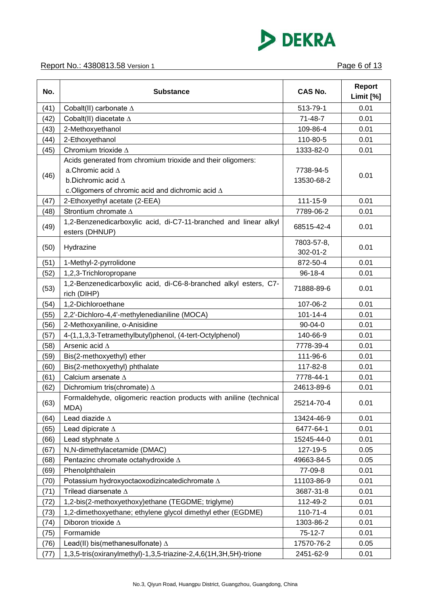

### Report No.: 4380813.58 Version 1 **Page 6 of 13**

| No.  | <b>Substance</b>                                                                   | <b>CAS No.</b> | <b>Report</b><br>Limit [%] |
|------|------------------------------------------------------------------------------------|----------------|----------------------------|
| (41) | Cobalt(II) carbonate $\Delta$                                                      | 513-79-1       | 0.01                       |
| (42) | Cobalt(II) diacetate $\Delta$                                                      | 71-48-7        | 0.01                       |
| (43) | 2-Methoxyethanol                                                                   | 109-86-4       | 0.01                       |
| (44) | 2-Ethoxyethanol                                                                    | 110-80-5       | 0.01                       |
| (45) | Chromium trioxide $\Delta$                                                         | 1333-82-0      | 0.01                       |
|      | Acids generated from chromium trioxide and their oligomers:                        |                |                            |
|      | a.Chromic acid $\Delta$                                                            | 7738-94-5      |                            |
| (46) | b.Dichromic acid $\Delta$                                                          | 13530-68-2     | 0.01                       |
|      | c. Oligomers of chromic acid and dichromic acid $\Delta$                           |                |                            |
| (47) | 2-Ethoxyethyl acetate (2-EEA)                                                      | 111-15-9       | 0.01                       |
| (48) | Strontium chromate $\Delta$                                                        | 7789-06-2      | 0.01                       |
| (49) | 1,2-Benzenedicarboxylic acid, di-C7-11-branched and linear alkyl<br>esters (DHNUP) | 68515-42-4     | 0.01                       |
|      |                                                                                    | 7803-57-8,     |                            |
| (50) | Hydrazine                                                                          | 302-01-2       | 0.01                       |
| (51) | 1-Methyl-2-pyrrolidone                                                             | 872-50-4       | 0.01                       |
| (52) | 1,2,3-Trichloropropane                                                             | $96 - 18 - 4$  | 0.01                       |
| (53) | 1,2-Benzenedicarboxylic acid, di-C6-8-branched alkyl esters, C7-<br>rich (DIHP)    | 71888-89-6     | 0.01                       |
| (54) | 1,2-Dichloroethane                                                                 | 107-06-2       | 0.01                       |
| (55) | 2,2'-Dichloro-4,4'-methylenedianiline (MOCA)                                       | $101 - 14 - 4$ | 0.01                       |
| (56) | 2-Methoxyaniline, o-Anisidine                                                      | $90 - 04 - 0$  | 0.01                       |
| (57) | 4-(1,1,3,3-Tetramethylbutyl)phenol, (4-tert-Octylphenol)                           | 140-66-9       | 0.01                       |
| (58) | Arsenic acid $\Delta$                                                              | 7778-39-4      | 0.01                       |
| (59) | Bis(2-methoxyethyl) ether                                                          | 111-96-6       | 0.01                       |
| (60) | Bis(2-methoxyethyl) phthalate                                                      | 117-82-8       | 0.01                       |
| (61) | Calcium arsenate $\Delta$                                                          | 7778-44-1      | 0.01                       |
| (62) | Dichromium tris(chromate) $\Delta$                                                 | 24613-89-6     | 0.01                       |
| (63) | Formaldehyde, oligomeric reaction products with aniline (technical<br>MDA)         | 25214-70-4     | 0.01                       |
| (64) | Lead diazide $\Delta$                                                              | 13424-46-9     | 0.01                       |
| (65) | Lead dipicrate $\Delta$                                                            | 6477-64-1      | 0.01                       |
| (66) | Lead styphnate $\Delta$                                                            | 15245-44-0     | 0.01                       |
| (67) | N,N-dimethylacetamide (DMAC)                                                       | 127-19-5       | 0.05                       |
| (68) | Pentazinc chromate octahydroxide A                                                 | 49663-84-5     | 0.05                       |
| (69) | Phenolphthalein                                                                    | 77-09-8        | 0.01                       |
| (70) | Potassium hydroxyoctaoxodizincatedichromate $\Delta$                               | 11103-86-9     | 0.01                       |
| (71) | Trilead diarsenate $\Delta$                                                        | 3687-31-8      | 0.01                       |
| (72) | 1,2-bis(2-methoxyethoxy)ethane (TEGDME; triglyme)                                  | 112-49-2       | 0.01                       |
| (73) | 1,2-dimethoxyethane; ethylene glycol dimethyl ether (EGDME)                        | $110 - 71 - 4$ | 0.01                       |
| (74) | Diboron trioxide $\Delta$                                                          | 1303-86-2      | 0.01                       |
| (75) | Formamide                                                                          | $75-12-7$      | 0.01                       |
| (76) | Lead(II) bis(methanesulfonate) $\Delta$                                            | 17570-76-2     | 0.05                       |
| (77) | 1,3,5-tris(oxiranylmethyl)-1,3,5-triazine-2,4,6(1H,3H,5H)-trione                   | 2451-62-9      | 0.01                       |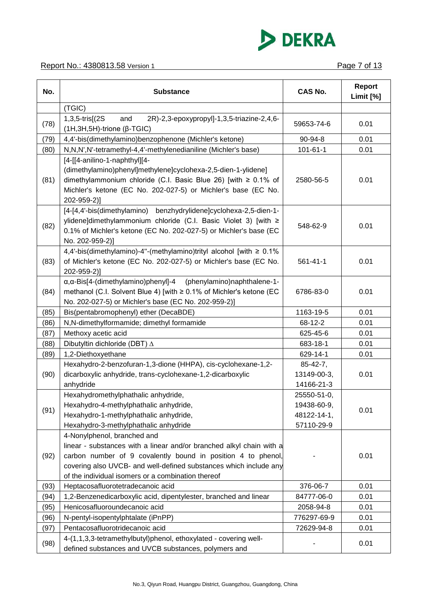

| No.  | <b>Substance</b>                                                                                                                                                                                                                                                                               | <b>CAS No.</b>                                          | Report<br>Limit [%] |
|------|------------------------------------------------------------------------------------------------------------------------------------------------------------------------------------------------------------------------------------------------------------------------------------------------|---------------------------------------------------------|---------------------|
|      | (TGIC)                                                                                                                                                                                                                                                                                         |                                                         |                     |
| (78) | 2R)-2,3-epoxypropyl]-1,3,5-triazine-2,4,6-<br>1,3,5-tris[(2S)<br>and<br>$(H, 3H, 5H)$ -trione ( $\beta$ -TGIC)                                                                                                                                                                                 | 59653-74-6                                              | 0.01                |
| (79) | 4,4'-bis(dimethylamino)benzophenone (Michler's ketone)                                                                                                                                                                                                                                         | 90-94-8                                                 | 0.01                |
| (80) | N,N,N',N'-tetramethyl-4,4'-methylenedianiline (Michler's base)                                                                                                                                                                                                                                 | $101 - 61 - 1$                                          | 0.01                |
| (81) | [4-[[4-anilino-1-naphthyl][4-<br>(dimethylamino)phenyl]methylene]cyclohexa-2,5-dien-1-ylidene]<br>dimethylammonium chloride (C.I. Basic Blue 26) [with ≥ 0.1% of<br>Michler's ketone (EC No. 202-027-5) or Michler's base (EC No.<br>202-959-2)]                                               | 2580-56-5                                               | 0.01                |
| (82) | [4-[4,4'-bis(dimethylamino) benzhydrylidene]cyclohexa-2,5-dien-1-<br>ylidene]dimethylammonium chloride (C.I. Basic Violet 3) [with ≥<br>0.1% of Michler's ketone (EC No. 202-027-5) or Michler's base (EC<br>No. 202-959-2)]                                                                   | 548-62-9                                                | 0.01                |
| (83) | 4,4'-bis(dimethylamino)-4"-(methylamino)trityl alcohol [with ≥ 0.1%<br>of Michler's ketone (EC No. 202-027-5) or Michler's base (EC No.<br>202-959-2)]                                                                                                                                         | $561 - 41 - 1$                                          | 0.01                |
| (84) | a, a-Bis[4-(dimethylamino)phenyl]-4 (phenylamino)naphthalene-1-<br>methanol (C.I. Solvent Blue 4) [with ≥ 0.1% of Michler's ketone (EC<br>No. 202-027-5) or Michler's base (EC No. 202-959-2)]                                                                                                 | 6786-83-0                                               | 0.01                |
| (85) | Bis(pentabromophenyl) ether (DecaBDE)                                                                                                                                                                                                                                                          | 1163-19-5                                               | 0.01                |
| (86) | N,N-dimethylformamide; dimethyl formamide                                                                                                                                                                                                                                                      | 68-12-2                                                 | 0.01                |
| (87) | Methoxy acetic acid                                                                                                                                                                                                                                                                            | 625-45-6                                                | 0.01                |
| (88) | Dibutyltin dichloride (DBT) $\Delta$                                                                                                                                                                                                                                                           | 683-18-1                                                | 0.01                |
| (89) | 1,2-Diethoxyethane                                                                                                                                                                                                                                                                             | 629-14-1                                                | 0.01                |
| (90) | Hexahydro-2-benzofuran-1,3-dione (HHPA), cis-cyclohexane-1,2-<br>dicarboxylic anhydride, trans-cyclohexane-1,2-dicarboxylic<br>anhydride                                                                                                                                                       | $85 - 42 - 7$ ,<br>13149-00-3,<br>14166-21-3            | 0.01                |
| (91) | Hexahydromethylphathalic anhydride,<br>Hexahydro-4-methylphathalic anhydride,<br>Hexahydro-1-methylphathalic anhydride,<br>Hexahydro-3-methylphathalic anhydride                                                                                                                               | 25550-51-0,<br>19438-60-9,<br>48122-14-1,<br>57110-29-9 | 0.01                |
| (92) | 4-Nonylphenol, branched and<br>linear - substances with a linear and/or branched alkyl chain with a<br>carbon number of 9 covalently bound in position 4 to phenol,<br>covering also UVCB- and well-defined substances which include any<br>of the individual isomers or a combination thereof |                                                         | 0.01                |
| (93) | Heptacosafluorotetradecanoic acid                                                                                                                                                                                                                                                              | 376-06-7                                                | 0.01                |
| (94) | 1,2-Benzenedicarboxylic acid, dipentylester, branched and linear                                                                                                                                                                                                                               | 84777-06-0                                              | 0.01                |
| (95) | Henicosafluoroundecanoic acid                                                                                                                                                                                                                                                                  | 2058-94-8                                               | 0.01                |
| (96) | N-pentyl-isopentylphtalate (iPnPP)                                                                                                                                                                                                                                                             | 776297-69-9                                             | 0.01                |
| (97) | Pentacosafluorotridecanoic acid                                                                                                                                                                                                                                                                | 72629-94-8                                              | 0.01                |
| (98) | 4-(1,1,3,3-tetramethylbutyl)phenol, ethoxylated - covering well-<br>defined substances and UVCB substances, polymers and                                                                                                                                                                       |                                                         | 0.01                |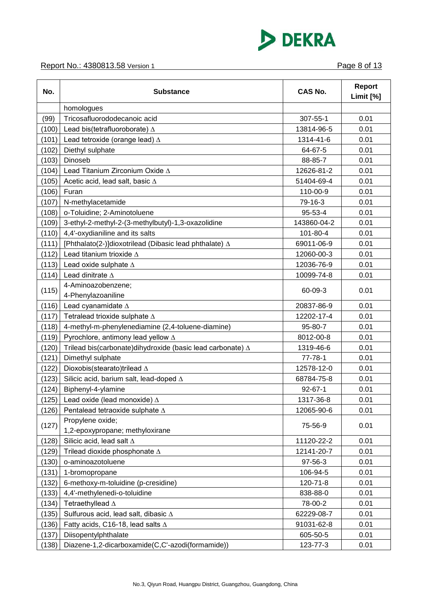

### Report No.: 4380813.58 Version 1 **Page 8 of 13**

| No.   | <b>Substance</b>                                                  | <b>CAS No.</b> | <b>Report</b><br>Limit [%] |
|-------|-------------------------------------------------------------------|----------------|----------------------------|
|       | homologues                                                        |                |                            |
| (99)  | Tricosafluorododecanoic acid                                      | 307-55-1       | 0.01                       |
| (100) | Lead bis(tetrafluoroborate) A                                     | 13814-96-5     | 0.01                       |
| (101) | Lead tetroxide (orange lead) $\Delta$                             | 1314-41-6      | 0.01                       |
| (102) | Diethyl sulphate                                                  | 64-67-5        | 0.01                       |
| (103) | Dinoseb                                                           | 88-85-7        | 0.01                       |
| (104) | Lead Titanium Zirconium Oxide A                                   | 12626-81-2     | 0.01                       |
| (105) | Acetic acid, lead salt, basic $\Delta$                            | 51404-69-4     | 0.01                       |
| (106) | Furan                                                             | 110-00-9       | 0.01                       |
| (107) | N-methylacetamide                                                 | 79-16-3        | 0.01                       |
| (108) | o-Toluidine; 2-Aminotoluene                                       | 95-53-4        | 0.01                       |
| (109) | 3-ethyl-2-methyl-2-(3-methylbutyl)-1,3-oxazolidine                | 143860-04-2    | 0.01                       |
| (110) | 4,4'-oxydianiline and its salts                                   | 101-80-4       | 0.01                       |
| (111) | [Phthalato(2-)]dioxotrilead (Dibasic lead phthalate) $\Delta$     | 69011-06-9     | 0.01                       |
| (112) | Lead titanium trioxide $\Delta$                                   | 12060-00-3     | 0.01                       |
| (113) | Lead oxide sulphate $\Delta$                                      | 12036-76-9     | 0.01                       |
| (114) | Lead dinitrate A                                                  | 10099-74-8     | 0.01                       |
| (115) | 4-Aminoazobenzene;<br>4-Phenylazoaniline                          | 60-09-3        | 0.01                       |
| (116) | Lead cyanamidate $\Delta$                                         | 20837-86-9     | 0.01                       |
| (117) | Tetralead trioxide sulphate $\Delta$                              | 12202-17-4     | 0.01                       |
| (118) | 4-methyl-m-phenylenediamine (2,4-toluene-diamine)                 | 95-80-7        | 0.01                       |
| (119) | Pyrochlore, antimony lead yellow ∆                                | 8012-00-8      | 0.01                       |
| (120) | Trilead bis(carbonate)dihydroxide (basic lead carbonate) $\Delta$ | 1319-46-6      | 0.01                       |
| (121) | Dimethyl sulphate                                                 | $77 - 78 - 1$  | 0.01                       |
| (122) | Dioxobis(stearato)trilead ∆                                       | 12578-12-0     | 0.01                       |
| (123) | Silicic acid, barium salt, lead-doped $\Delta$                    | 68784-75-8     | 0.01                       |
| (124) | Biphenyl-4-ylamine                                                | $92 - 67 - 1$  | 0.01                       |
| (125) | Lead oxide (lead monoxide) $\Delta$                               | 1317-36-8      | 0.01                       |
| (126) | Pentalead tetraoxide sulphate ∆                                   | 12065-90-6     | 0.01                       |
| (127) | Propylene oxide;<br>1,2-epoxypropane; methyloxirane               | 75-56-9        | 0.01                       |
| (128) | Silicic acid, lead salt $\Delta$                                  | 11120-22-2     | 0.01                       |
| (129) | Trilead dioxide phosphonate $\Delta$                              | 12141-20-7     | 0.01                       |
| (130) | o-aminoazotoluene                                                 | 97-56-3        | 0.01                       |
| (131) | 1-bromopropane                                                    | 106-94-5       | 0.01                       |
| (132) | 6-methoxy-m-toluidine (p-cresidine)                               | 120-71-8       | 0.01                       |
| (133) | 4,4'-methylenedi-o-toluidine                                      | 838-88-0       | 0.01                       |
| (134) | Tetraethyllead $\Delta$                                           | 78-00-2        | 0.01                       |
| (135) | Sulfurous acid, lead salt, dibasic ∆                              | 62229-08-7     | 0.01                       |
| (136) | Fatty acids, C16-18, lead salts $\Delta$                          | 91031-62-8     | 0.01                       |
| (137) | Diisopentylphthalate                                              | 605-50-5       | 0.01                       |
| (138) | Diazene-1,2-dicarboxamide(C,C'-azodi(formamide))                  | 123-77-3       | 0.01                       |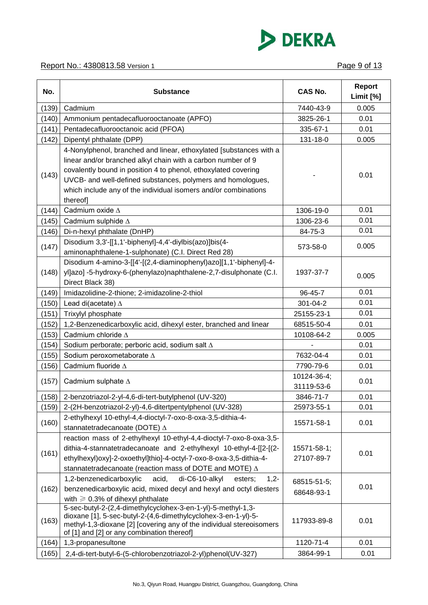

| No.   | <b>Substance</b>                                                                                                                                                                                                                                                                                                                                   | <b>CAS No.</b>            | <b>Report</b><br>Limit [%] |
|-------|----------------------------------------------------------------------------------------------------------------------------------------------------------------------------------------------------------------------------------------------------------------------------------------------------------------------------------------------------|---------------------------|----------------------------|
| (139) | Cadmium                                                                                                                                                                                                                                                                                                                                            | 7440-43-9                 | 0.005                      |
| (140) | Ammonium pentadecafluorooctanoate (APFO)                                                                                                                                                                                                                                                                                                           | 3825-26-1                 | 0.01                       |
| (141) | Pentadecafluorooctanoic acid (PFOA)                                                                                                                                                                                                                                                                                                                | 335-67-1                  | 0.01                       |
| (142) | Dipentyl phthalate (DPP)                                                                                                                                                                                                                                                                                                                           | 131-18-0                  | 0.005                      |
| (143) | 4-Nonylphenol, branched and linear, ethoxylated [substances with a<br>linear and/or branched alkyl chain with a carbon number of 9<br>covalently bound in position 4 to phenol, ethoxylated covering<br>UVCB- and well-defined substances, polymers and homologues,<br>which include any of the individual isomers and/or combinations<br>thereof] |                           | 0.01                       |
| (144) | Cadmium oxide $\Delta$                                                                                                                                                                                                                                                                                                                             | 1306-19-0                 | 0.01                       |
| (145) | Cadmium sulphide ∆                                                                                                                                                                                                                                                                                                                                 | 1306-23-6                 | 0.01                       |
| (146) | Di-n-hexyl phthalate (DnHP)                                                                                                                                                                                                                                                                                                                        | 84-75-3                   | 0.01                       |
| (147) | Disodium 3,3'-[[1,1'-biphenyl]-4,4'-diylbis(azo)]bis(4-<br>aminonaphthalene-1-sulphonate) (C.I. Direct Red 28)                                                                                                                                                                                                                                     | 573-58-0                  | 0.005                      |
| (148) | Disodium 4-amino-3-[[4'-[(2,4-diaminophenyl)azo][1,1'-biphenyl]-4-<br>yl]azo] -5-hydroxy-6-(phenylazo)naphthalene-2,7-disulphonate (C.I.<br>Direct Black 38)                                                                                                                                                                                       | 1937-37-7                 | 0.005                      |
| (149) | Imidazolidine-2-thione; 2-imidazoline-2-thiol                                                                                                                                                                                                                                                                                                      | 96-45-7                   | 0.01                       |
| (150) | Lead di(acetate) $\Delta$                                                                                                                                                                                                                                                                                                                          | 301-04-2                  | 0.01                       |
| (151) | Trixylyl phosphate                                                                                                                                                                                                                                                                                                                                 | 25155-23-1                | 0.01                       |
| (152) | 1,2-Benzenedicarboxylic acid, dihexyl ester, branched and linear                                                                                                                                                                                                                                                                                   | 68515-50-4                | 0.01                       |
| (153) | Cadmium chloride $\Delta$                                                                                                                                                                                                                                                                                                                          | 10108-64-2                | 0.005                      |
| (154) | Sodium perborate; perboric acid, sodium salt $\Delta$                                                                                                                                                                                                                                                                                              |                           | 0.01                       |
| (155) | Sodium peroxometaborate ∆                                                                                                                                                                                                                                                                                                                          | 7632-04-4                 | 0.01                       |
| (156) | Cadmium fluoride $\Delta$                                                                                                                                                                                                                                                                                                                          | 7790-79-6                 | 0.01                       |
| (157) | Cadmium sulphate $\Delta$                                                                                                                                                                                                                                                                                                                          | 10124-36-4;<br>31119-53-6 | 0.01                       |
|       | (158) 2-benzotriazol-2-yl-4,6-di-tert-butylphenol (UV-320)                                                                                                                                                                                                                                                                                         | 3846-71-7                 | 0.01                       |
| (159) | 2-(2H-benzotriazol-2-yl)-4,6-ditertpentylphenol (UV-328)                                                                                                                                                                                                                                                                                           | 25973-55-1                | 0.01                       |
| (160) | 2-ethylhexyl 10-ethyl-4,4-dioctyl-7-oxo-8-oxa-3,5-dithia-4-<br>stannatetradecanoate (DOTE) A                                                                                                                                                                                                                                                       | 15571-58-1                | 0.01                       |
| (161) | reaction mass of 2-ethylhexyl 10-ethyl-4,4-dioctyl-7-oxo-8-oxa-3,5-<br>dithia-4-stannatetradecanoate and 2-ethylhexyl 10-ethyl-4-[[2-[(2-<br>ethylhexyl)oxy]-2-oxoethyl]thio]-4-octyl-7-oxo-8-oxa-3,5-dithia-4-<br>stannatetradecanoate (reaction mass of DOTE and MOTE) $\Delta$                                                                  | 15571-58-1;<br>27107-89-7 | 0.01                       |
| (162) | 1,2-benzenedicarboxylic<br>di-C6-10-alkyl<br>acid,<br>esters;<br>$1,2-$<br>benzenedicarboxylic acid, mixed decyl and hexyl and octyl diesters<br>with $\geq 0.3\%$ of dihexyl phthalate                                                                                                                                                            | 68515-51-5;<br>68648-93-1 | 0.01                       |
| (163) | 5-sec-butyl-2-(2,4-dimethylcyclohex-3-en-1-yl)-5-methyl-1,3-<br>dioxane [1], 5-sec-butyl-2-(4,6-dimethylcyclohex-3-en-1-yl)-5-<br>methyl-1,3-dioxane [2] [covering any of the individual stereoisomers<br>of [1] and [2] or any combination thereof]                                                                                               | 117933-89-8               | 0.01                       |
| (164) | 1,3-propanesultone                                                                                                                                                                                                                                                                                                                                 | 1120-71-4                 | 0.01                       |
| (165) | 2,4-di-tert-butyl-6-(5-chlorobenzotriazol-2-yl)phenol(UV-327)                                                                                                                                                                                                                                                                                      | 3864-99-1                 | 0.01                       |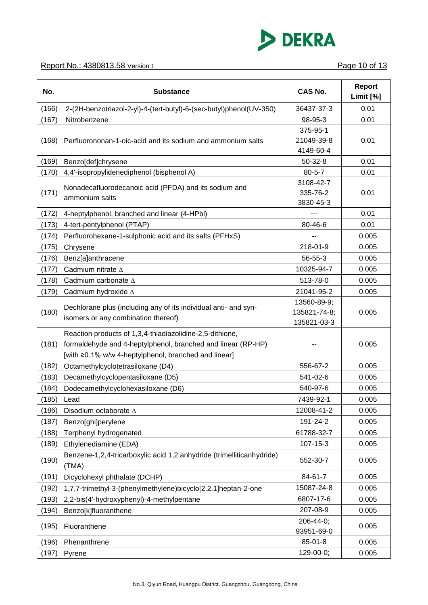

| No.   | <b>Substance</b>                                                      | <b>CAS No.</b> | <b>Report</b><br>Limit [%] |
|-------|-----------------------------------------------------------------------|----------------|----------------------------|
| (166) | 2-(2H-benzotriazol-2-yl)-4-(tert-butyl)-6-(sec-butyl)phenol(UV-350)   | 36437-37-3     | 0.01                       |
| (167) | Nitrobenzene                                                          | 98-95-3        | 0.01                       |
|       |                                                                       | 375-95-1       |                            |
| (168) | Perfluorononan-1-oic-acid and its sodium and ammonium salts           | 21049-39-8     | 0.01                       |
|       |                                                                       | 4149-60-4      |                            |
| (169) | Benzo[def]chrysene                                                    | $50-32-8$      | 0.01                       |
| (170) | 4,4'-isopropylidenediphenol (bisphenol A)                             | $80 - 5 - 7$   | 0.01                       |
|       | Nonadecafluorodecanoic acid (PFDA) and its sodium and                 | 3108-42-7      |                            |
| (171) | ammonium salts                                                        | 335-76-2       | 0.01                       |
|       |                                                                       | 3830-45-3      |                            |
| (172) | 4-heptylphenol, branched and linear (4-HPbl)                          | ---            | 0.01                       |
| (173) | 4-tert-pentylphenol (PTAP)                                            | 80-46-6        | 0.01                       |
| (174) | Perfluorohexane-1-sulphonic acid and its salts (PFHxS)                |                | 0.005                      |
| (175) | Chrysene                                                              | 218-01-9       | 0.005                      |
| (176) | Benz[a]anthracene                                                     | 56-55-3        | 0.005                      |
| (177) | Cadmium nitrate $\Delta$                                              | 10325-94-7     | 0.005                      |
| (178) | Cadmium carbonate A                                                   | 513-78-0       | 0.005                      |
| (179) | Cadmium hydroxide $\Delta$                                            | 21041-95-2     | 0.005                      |
|       | Dechlorane plus (including any of its individual anti- and syn-       | 13560-89-9;    |                            |
| (180) | isomers or any combination thereof)                                   | 135821-74-8;   | 0.005                      |
|       |                                                                       | 135821-03-3    |                            |
|       | Reaction products of 1,3,4-thiadiazolidine-2,5-dithione,              |                |                            |
| (181) | formaldehyde and 4-heptylphenol, branched and linear (RP-HP)          |                | 0.005                      |
|       | [with ≥0.1% w/w 4-heptylphenol, branched and linear]                  |                |                            |
| (182) | Octamethylcyclotetrasiloxane (D4)                                     | 556-67-2       | 0.005                      |
| (183) | Decamethylcyclopentasiloxane (D5)                                     | 541-02-6       | 0.005                      |
| (184) | Dodecamethylcyclohexasiloxane (D6)                                    | 540-97-6       | 0.005                      |
| (185) | Lead                                                                  | 7439-92-1      | 0.005                      |
| (186) | Disodium octaborate A                                                 | 12008-41-2     | 0.005                      |
| (187) | Benzo[ghi]perylene                                                    | 191-24-2       | 0.005                      |
| (188) | Terphenyl hydrogenated                                                | 61788-32-7     | 0.005                      |
| (189) | Ethylenediamine (EDA)                                                 | 107-15-3       | 0.005                      |
|       | Benzene-1,2,4-tricarboxylic acid 1,2 anhydride (trimelliticanhydride) |                |                            |
| (190) | (TMA)                                                                 | 552-30-7       | 0.005                      |
| (191) | Dicyclohexyl phthalate (DCHP)                                         | 84-61-7        | 0.005                      |
| (192) | 1,7,7-trimethyl-3-(phenylmethylene)bicyclo[2.2.1]heptan-2-one         | 15087-24-8     | 0.005                      |
| (193) | 2,2-bis(4'-hydroxyphenyl)-4-methylpentane                             | 6807-17-6      | 0.005                      |
| (194) | Benzo[k]fluoranthene                                                  | 207-08-9       | 0.005                      |
|       |                                                                       | 206-44-0;      | 0.005                      |
| (195) | Fluoranthene                                                          | 93951-69-0     |                            |
| (196) | Phenanthrene                                                          | 85-01-8        | 0.005                      |
| (197) | Pyrene                                                                | 129-00-0;      | 0.005                      |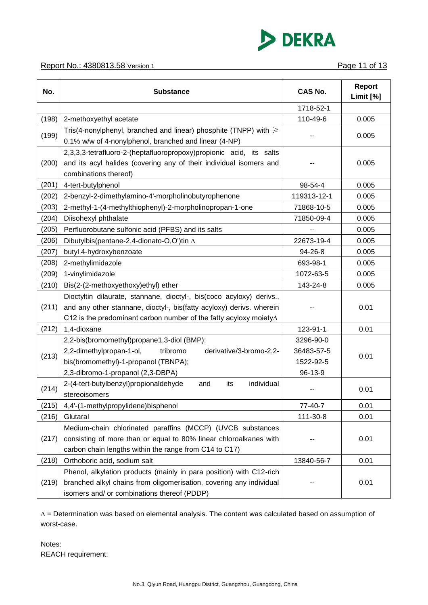

| No.   | <b>Substance</b>                                                                                                                                                                                                          | <b>CAS No.</b>                                  | <b>Report</b><br>Limit [%] |
|-------|---------------------------------------------------------------------------------------------------------------------------------------------------------------------------------------------------------------------------|-------------------------------------------------|----------------------------|
|       |                                                                                                                                                                                                                           | 1718-52-1                                       |                            |
| (198) | 2-methoxyethyl acetate                                                                                                                                                                                                    | 110-49-6                                        | 0.005                      |
| (199) | Tris(4-nonylphenyl, branched and linear) phosphite (TNPP) with $\geq$<br>0.1% w/w of 4-nonylphenol, branched and linear (4-NP)                                                                                            |                                                 | 0.005                      |
| (200) | 2,3,3,3-tetrafluoro-2-(heptafluoropropoxy)propionic acid, its salts<br>and its acyl halides (covering any of their individual isomers and<br>combinations thereof)                                                        |                                                 | 0.005                      |
| (201) | 4-tert-butylphenol                                                                                                                                                                                                        | 98-54-4                                         | 0.005                      |
| (202) | 2-benzyl-2-dimethylamino-4'-morpholinobutyrophenone                                                                                                                                                                       | 119313-12-1                                     | 0.005                      |
| (203) | 2-methyl-1-(4-methylthiophenyl)-2-morpholinopropan-1-one                                                                                                                                                                  | 71868-10-5                                      | 0.005                      |
| (204) | Diisohexyl phthalate                                                                                                                                                                                                      | 71850-09-4                                      | 0.005                      |
| (205) | Perfluorobutane sulfonic acid (PFBS) and its salts                                                                                                                                                                        |                                                 | 0.005                      |
| (206) | Dibutylbis(pentane-2,4-dionato-O,O')tin ∆                                                                                                                                                                                 | 22673-19-4                                      | 0.005                      |
| (207) | butyl 4-hydroxybenzoate                                                                                                                                                                                                   | 94-26-8                                         | 0.005                      |
| (208) | 2-methylimidazole                                                                                                                                                                                                         | 693-98-1                                        | 0.005                      |
| (209) | 1-vinylimidazole                                                                                                                                                                                                          | 1072-63-5                                       | 0.005                      |
| (210) | Bis(2-(2-methoxyethoxy)ethyl) ether                                                                                                                                                                                       | 143-24-8                                        | 0.005                      |
| (211) | Dioctyltin dilaurate, stannane, dioctyl-, bis(coco acyloxy) derivs.,<br>and any other stannane, dioctyl-, bis(fatty acyloxy) derivs. wherein<br>C12 is the predominant carbon number of the fatty acyloxy moiety $\Delta$ |                                                 | 0.01                       |
| (212) | 1,4-dioxane                                                                                                                                                                                                               | 123-91-1                                        | 0.01                       |
| (213) | 2,2-bis(bromomethyl)propane1,3-diol (BMP);<br>2,2-dimethylpropan-1-ol,<br>derivative/3-bromo-2,2-<br>tribromo<br>bis(bromomethyl)-1-propanol (TBNPA);<br>2,3-dibromo-1-propanol (2,3-DBPA)                                | 3296-90-0<br>36483-57-5<br>1522-92-5<br>96-13-9 | 0.01                       |
| (214) | 2-(4-tert-butylbenzyl)propionaldehyde<br>its<br>individual<br>and<br>stereoisomers                                                                                                                                        |                                                 | 0.01                       |
| (215) | 4,4'-(1-methylpropylidene)bisphenol                                                                                                                                                                                       | 77-40-7                                         | 0.01                       |
| (216) | Glutaral                                                                                                                                                                                                                  | 111-30-8                                        | 0.01                       |
| (217) | Medium-chain chlorinated paraffins (MCCP) (UVCB substances<br>consisting of more than or equal to 80% linear chloroalkanes with<br>carbon chain lengths within the range from C14 to C17)                                 |                                                 | 0.01                       |
| (218) | Orthoboric acid, sodium salt                                                                                                                                                                                              | 13840-56-7                                      | 0.01                       |
| (219) | Phenol, alkylation products (mainly in para position) with C12-rich<br>branched alkyl chains from oligomerisation, covering any individual<br>isomers and/ or combinations thereof (PDDP)                                 |                                                 | 0.01                       |

∆ = Determination was based on elemental analysis. The content was calculated based on assumption of worst-case.

Notes: REACH requirement: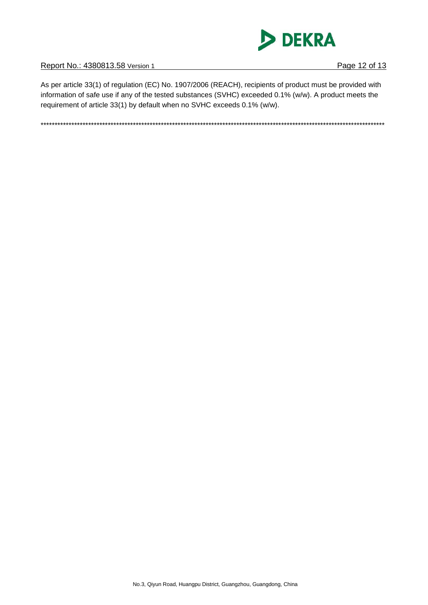

Report No.: 4380813.58 Version 1

As per article 33(1) of regulation (EC) No. 1907/2006 (REACH), recipients of product must be provided with information of safe use if any of the tested substances (SVHC) exceeded 0.1% (w/w). A product meets the requirement of article 33(1) by default when no SVHC exceeds 0.1% (w/w).